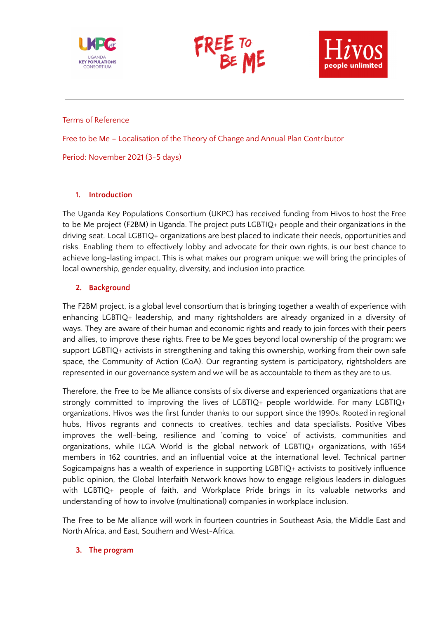





#### Terms of Reference

Free to be Me – Localisation of the Theory of Change and Annual Plan Contributor

Period: November 2021 (3-5 days)

### **1. Introduction**

The Uganda Key Populations Consortium (UKPC) has received funding from Hivos to host the Free to be Me project (F2BM) in Uganda. The project puts LGBTIQ+ people and their organizations in the driving seat. Local LGBTIQ+ organizations are best placed to indicate their needs, opportunities and risks. Enabling them to effectively lobby and advocate for their own rights, is our best chance to achieve long-lasting impact. This is what makes our program unique: we will bring the principles of local ownership, gender equality, diversity, and inclusion into practice.

## **2. Background**

The F2BM project, is a global level consortium that is bringing together a wealth of experience with enhancing LGBTIQ+ leadership, and many rightsholders are already organized in a diversity of ways. They are aware of their human and economic rights and ready to join forces with their peers and allies, to improve these rights. Free to be Me goes beyond local ownership of the program: we support LGBTIQ+ activists in strengthening and taking this ownership, working from their own safe space, the Community of Action (CoA). Our regranting system is participatory, rightsholders are represented in our governance system and we will be as accountable to them as they are to us.

Therefore, the Free to be Me alliance consists of six diverse and experienced organizations that are strongly committed to improving the lives of LGBTIQ+ people worldwide. For many LGBTIQ+ organizations, Hivos was the first funder thanks to our support since the 1990s. Rooted in regional hubs, Hivos regrants and connects to creatives, techies and data specialists. Positive Vibes improves the well-being, resilience and 'coming to voice' of activists, communities and organizations, while ILGA World is the global network of LGBTIQ+ organizations, with 1654 members in 162 countries, and an influential voice at the international level. Technical partner Sogicampaigns has a wealth of experience in supporting LGBTIQ+ activists to positively influence public opinion, the Global lnterfaith Network knows how to engage religious leaders in dialogues with LGBTIQ+ people of faith, and Workplace Pride brings in its valuable networks and understanding of how to involve (multinational) companies in workplace inclusion.

The Free to be Me alliance will work in fourteen countries in Southeast Asia, the Middle East and North Africa, and East, Southern and West-Africa.

### **3. The program**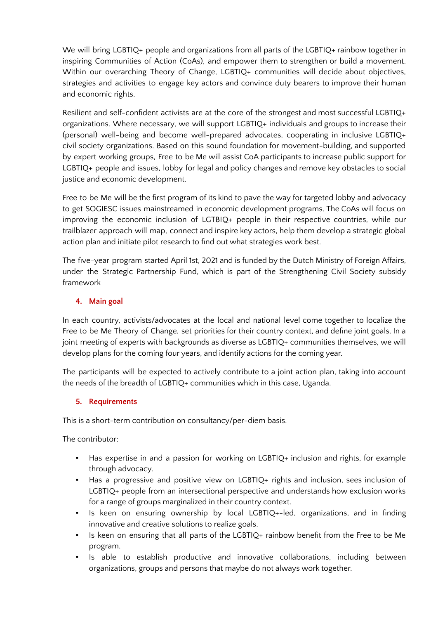We will bring LGBTIQ+ people and organizations from all parts of the LGBTIQ+ rainbow together in inspiring Communities of Action (CoAs), and empower them to strengthen or build a movement. Within our overarching Theory of Change, LGBTIQ+ communities will decide about objectives, strategies and activities to engage key actors and convince duty bearers to improve their human and economic rights.

Resilient and self-confident activists are at the core of the strongest and most successful LGBTIQ+ organizations. Where necessary, we will support LGBTIQ+ individuals and groups to increase their (personal) well-being and become well-prepared advocates, cooperating in inclusive LGBTIQ+ civil society organizations. Based on this sound foundation for movement-building, and supported by expert working groups, Free to be Me will assist CoA participants to increase public support for LGBTIQ+ people and issues, lobby for legal and policy changes and remove key obstacles to social justice and economic development.

Free to be Me will be the first program of its kind to pave the way for targeted lobby and advocacy to get SOGIESC issues mainstreamed in economic development programs. The CoAs will focus on improving the economic inclusion of LGTBIQ+ people in their respective countries, while our trailblazer approach will map, connect and inspire key actors, help them develop a strategic global action plan and initiate pilot research to find out what strategies work best.

The five-year program started April 1st, 2021 and is funded by the Dutch Ministry of Foreign Affairs, under the Strategic Partnership Fund, which is part of the Strengthening Civil Society subsidy framework

# **4. Main goal**

In each country, activists/advocates at the local and national level come together to localize the Free to be Me Theory of Change, set priorities for their country context, and define joint goals. In a joint meeting of experts with backgrounds as diverse as LGBTIQ+ communities themselves, we will develop plans for the coming four years, and identify actions for the coming year.

The participants will be expected to actively contribute to a joint action plan, taking into account the needs of the breadth of LGBTIQ+ communities which in this case, Uganda.

## **5. Requirements**

This is a short-term contribution on consultancy/per-diem basis.

The contributor:

- Has expertise in and a passion for working on LGBTIQ+ inclusion and rights, for example through advocacy.
- Has a progressive and positive view on LGBTIQ+ rights and inclusion, sees inclusion of LGBTIQ+ people from an intersectional perspective and understands how exclusion works for a range of groups marginalized in their country context.
- Is keen on ensuring ownership by local LGBTIQ+-led, organizations, and in finding innovative and creative solutions to realize goals.
- Is keen on ensuring that all parts of the LGBTIQ+ rainbow benefit from the Free to be Me program.
- Is able to establish productive and innovative collaborations, including between organizations, groups and persons that maybe do not always work together.